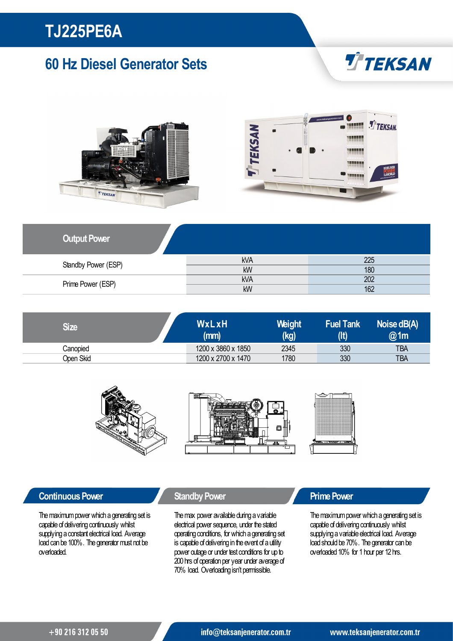## 60 Hz Diesel Generator Sets







| <b>Output Power</b> |            |     |
|---------------------|------------|-----|
| Standby Power (ESP) | <b>kVA</b> | 225 |
|                     | kW         | 180 |
| Prime Power (ESP)   | <b>kVA</b> | 202 |
|                     | kW         | 162 |

| Size      | WxLxH<br>(mm)      | Weight<br>(kg) | <b>Fuel Tank</b> | Noise dB(A)<br>@1m |
|-----------|--------------------|----------------|------------------|--------------------|
| Canopied  | 1200 x 3860 x 1850 | 2345           | 330              | <b>TBA</b>         |
| Open Skid | 1200 x 2700 x 1470 | 1780           | 330              | <b>TBA</b>         |



### **Continuous Power Continuous Power Standby Power Continuous Power**

The maximum power which a generating set is capable of delivering continuously whilst supplying a constant electrical load. Average load can be 100%. The generator must not be overloaded.

The max power available during a variable electrical power sequence, under the stated operating conditions, for which a generating set is capable of delivering in the event of a utility power outage or under test conditions for up to 200 hrs of operation per year under average of 70% load. Overloadingisn't permissible.

The maximum power which a generating set is capable of delivering continuously whilst supplying a variable electrical load. Average load should be 70%. The generator can be overloaded 10% for 1 hour per 12 hrs.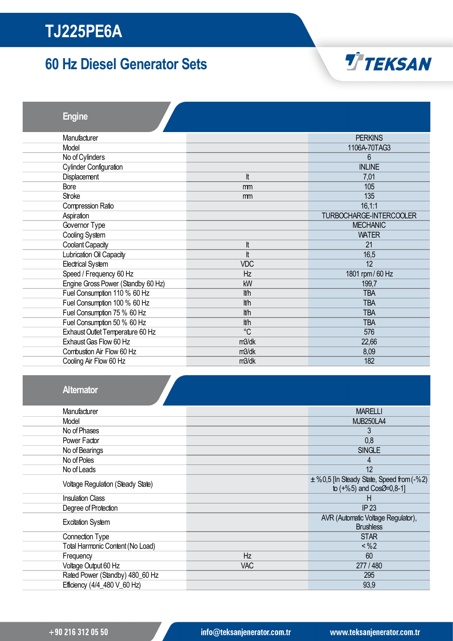## 60 Hz Diesel Generator Sets



Engine

| Manufacturer                       |               | <b>PERKINS</b>          |
|------------------------------------|---------------|-------------------------|
| Model                              |               | 1106A-70TAG3            |
| No of Cylinders                    |               | 6                       |
| <b>Cylinder Configuration</b>      |               | <b>INLINE</b>           |
| Displacement                       | It            | 7,01                    |
| <b>Bore</b>                        | mm            | 105                     |
| Stroke                             | <sub>mm</sub> | 135                     |
| Compression Ratio                  |               | 16, 1:1                 |
| Aspiration                         |               | TURBOCHARGE-INTERCOOLER |
| Governor Type                      |               | <b>MECHANIC</b>         |
| Cooling System                     |               | <b>WATER</b>            |
| <b>Coolant Capacity</b>            | lt            | 21                      |
| Lubrication Oil Capacity           | lt            | 16,5                    |
| <b>Electrical System</b>           | <b>VDC</b>    | 12                      |
| Speed / Frequency 60 Hz            | Hz            | 1801 rpm/60 Hz          |
| Engine Gross Power (Standby 60 Hz) | kW            | 199,7                   |
| Fuel Consumption 110 % 60 Hz       | lt/h          | <b>TBA</b>              |
| Fuel Consumption 100 % 60 Hz       | lt/h          | <b>TBA</b>              |
| Fuel Consumption 75 % 60 Hz        | lt/h          | <b>TBA</b>              |
| Fuel Consumption 50 % 60 Hz        | lt/h          | <b>TBA</b>              |
| Exhaust Outlet Temperature 60 Hz   | $^{\circ}C$   | 576                     |
| Exhaust Gas Flow 60 Hz             | m3/dk         | 22,66                   |
| Combustion Air Flow 60 Hz          | m3/dk         | 8,09                    |
| Cooling Air Flow 60 Hz             | m3/dk         | 182                     |
|                                    |               |                         |

| Manufacturer                      |            | <b>MARELLI</b>                                                                   |  |
|-----------------------------------|------------|----------------------------------------------------------------------------------|--|
| Model                             |            | <b>MJB250LA4</b>                                                                 |  |
| No of Phases                      |            | 3                                                                                |  |
| Power Factor                      |            | 0,8                                                                              |  |
| No of Bearings                    |            | <b>SINGLE</b>                                                                    |  |
| No of Poles                       |            | 4                                                                                |  |
| No of Leads                       |            | 12                                                                               |  |
| Voltage Regulation (Steady State) |            | $\pm$ %0,5 [In Steady State, Speed from $(-\% 2)$<br>to $(+\%5)$ and CosØ=0,8-1] |  |
| <b>Insulation Class</b>           |            | Н                                                                                |  |
| Degree of Protection              |            | <b>IP 23</b>                                                                     |  |
| <b>Excitation System</b>          |            | AVR (Automatic Voltage Regulator),<br><b>Brushless</b>                           |  |
| Connection Type                   |            | <b>STAR</b>                                                                      |  |
| Total Harmonic Content (No Load)  |            | $<\frac{9}{2}$                                                                   |  |
| Frequency                         | Hz         | 60                                                                               |  |
| Voltage Output 60 Hz              | <b>VAC</b> | 277 / 480                                                                        |  |
| Rated Power (Standby) 480_60 Hz   |            | 295                                                                              |  |
| Efficiency (4/4_480 V_60 Hz)      |            | 93,9                                                                             |  |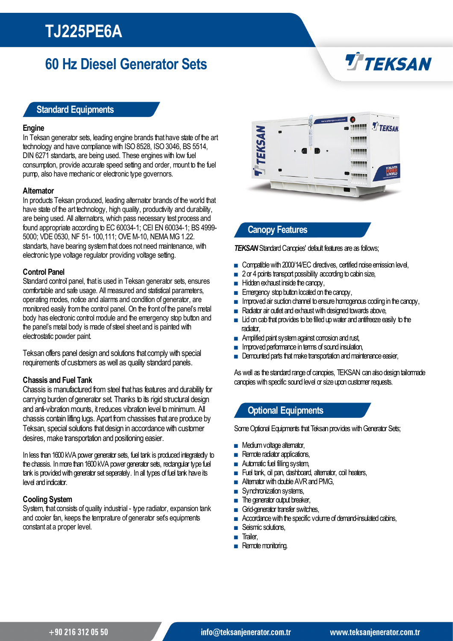# 60 Hz Diesel Generator Sets

# **TTEKSAN**

### Standard Equipments

### **Engine**

In Teksan generator sets, leading engine brands that have state of the art technology and have compliance with ISO 8528, ISO 3046, BS 5514, DIN 6271 standarts, are being used. These engines with low fuel consumption, provide accurate speed setting and order, mount to the fuel pump, also have mechanic or electronic type governors.

### **Alternator**

In products Teksan produced, leading alternator brands of the world that have state of the art technology, high quality, productivity and durability, are being used. All alternators, which pass necessary test process and found appropriate according to EC 60034-1; CEI EN 60034-1; BS 4999- 5000; VDE 0530, NF 51- 100,111; OVE M-10, NEMA MG 1.22. standarts, have bearing system that does not need maintenance, with electronic type voltage regulator providing voltage setting.

#### Control Panel

Standard control panel, that is used in Teksan generator sets, ensures comfortable and safe usage. All measured and statistical parameters, operating modes, notice and alarms and condition of generator, are monitored easily from the control panel. On the front of the panel's metal body has electronic control module and the emergency stop button and the panel's metal body is made of steel sheet and is painted with electrostatic powder paint.

Teksan offers panel design and solutions that comply with special requirements of customers as well as quality standard panels.

### Chassisand Fuel Tank

Chassis is manufactured from steel that has features and durability for carrying burden of generator set. Thanks to its rigid structural design and anti-vibration mounts, it reduces vibration level to minimum. All chassis contain lifting lugs. Apart from chassises that are produce by Teksan, special solutions that design in accordance with customer desires, make transportation and positioning easier.

In less than 1600 kVA power generator sets, fuel tank is produced integratedly to the chassis. In more than 1600 kVA power generator sets, rectangular type fuel tank is provided with generator set seperately. In all types of fuel tank have its level and indicator.

### Cooling System

System, that consists of quality industrial - type radiator, expansion tank and cooler fan, keeps the temprature of generator set's equipments constant at a proper level.



### Canopy Features

**TEKSAN** Standard Canopies' default features are as follows;

- Compatible with 2000/14/EC directives, certified noise emission level,
- 2 or 4 points transport possibility according to cabin size,
- Hidden exhaust inside the canopy,
- Emergency stop button located on the canopy,
- **■** Improved air suction channel to ensure homogenous cooling in the canopy,
- Radiator air outlet and exhaust with designed towards above,
- $\blacksquare$  Lid on cab that provides to be filled up water and antifreeze easily to the radiator,
- Amplified paint system against corrosion and rust,
- **■** Improved performance in terms of sound insulation,
- Demounted parts that make transportation and maintenance easier,

As well as the standard range of canopies, TEKSAN can also design tailormade canopies with specific sound level or size upon customer requests.

### Optional Equipments

Some Optional Equipments that Teksan provides with Generator Sets;

- Medium voltage alternator,
- Remote radiator applications,
- Automatic fuel filling system,
- Fuel tank, oil pan, dashboard, alternator, coil heaters,
- Alternator with double AVR and PMG,
- Synchronization systems,
- The generator output breaker,
- Grid-generator transfer switches,
- Accordance with the specific volume of demand-insulated cabins,
- Seismic solutions,
- Trailer,
- Remote monitoring.